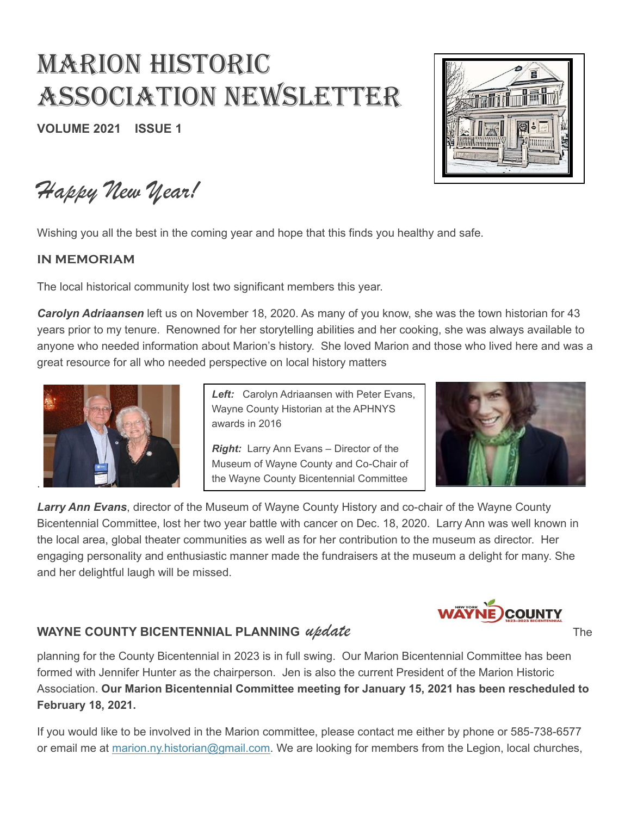# MARION HISTORIC ASSOCIATION NEWSLETTER

**VOLUME 2021 ISSUE 1**



*Happy New Year!*

Wishing you all the best in the coming year and hope that this finds you healthy and safe.

#### **IN MEMORIAM**

The local historical community lost two significant members this year.

*Carolyn Adriaansen* left us on November 18, 2020. As many of you know, she was the town historian for 43 years prior to my tenure. Renowned for her storytelling abilities and her cooking, she was always available to anyone who needed information about Marion's history. She loved Marion and those who lived here and was a great resource for all who needed perspective on local history matters



*Left:* Carolyn Adriaansen with Peter Evans, Wayne County Historian at the APHNYS awards in 2016

*Right:* Larry Ann Evans – Director of the Museum of Wayne County and Co-Chair of the Wayne County Bicentennial Committee



*Larry Ann Evans*, director of the Museum of Wayne County History and co-chair of the Wayne County Bicentennial Committee, lost her two year battle with cancer on Dec. 18, 2020. Larry Ann was well known in the local area, global theater communities as well as for her contribution to the museum as director. Her engaging personality and enthusiastic manner made the fundraisers at the museum a delight for many. She and her delightful laugh will be missed.

## **COUNTY**

## **WAYNE COUNTY BICENTENNIAL PLANNING** *update* **The STATE COUNTY BICENTENNIAL PLANNING** *update*

planning for the County Bicentennial in 2023 is in full swing. Our Marion Bicentennial Committee has been formed with Jennifer Hunter as the chairperson. Jen is also the current President of the Marion Historic Association. **Our Marion Bicentennial Committee meeting for January 15, 2021 has been rescheduled to February 18, 2021.**

If you would like to be involved in the Marion committee, please contact me either by phone or 585-738-6577 or email me at [marion.ny.historian@gmail.com.](mailto:marion.ny.historian@gmail.com) We are looking for members from the Legion, local churches,

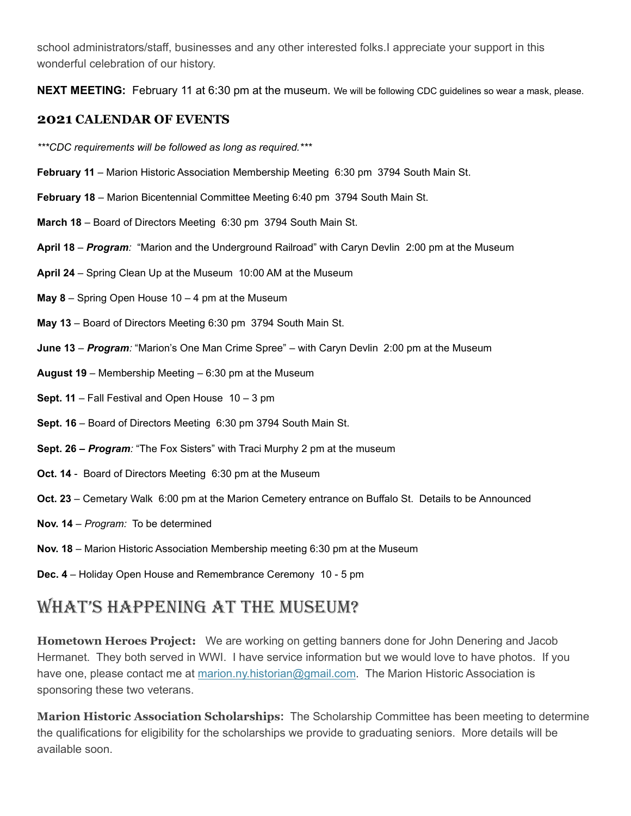school administrators/staff, businesses and any other interested folks.I appreciate your support in this wonderful celebration of our history.

**NEXT MEETING:** February 11 at 6:30 pm at the museum. We will be following CDC guidelines so wear a mask, please.

### **2021 CALENDAR OF EVENTS**

*\*\*\*CDC requirements will be followed as long as required.\*\*\**

- **February 11** Marion Historic Association Membership Meeting 6:30 pm 3794 South Main St.
- **February 18** Marion Bicentennial Committee Meeting 6:40 pm 3794 South Main St.
- **March 18** Board of Directors Meeting 6:30 pm 3794 South Main St.
- **April 18** *Program:* "Marion and the Underground Railroad" with Caryn Devlin 2:00 pm at the Museum
- **April 24** Spring Clean Up at the Museum 10:00 AM at the Museum
- **May 8** Spring Open House 10 4 pm at the Museum
- **May 13** Board of Directors Meeting 6:30 pm 3794 South Main St.
- **June 13** *Program:* "Marion's One Man Crime Spree" with Caryn Devlin 2:00 pm at the Museum
- **August 19** Membership Meeting 6:30 pm at the Museum
- **Sept. 11** Fall Festival and Open House 10 3 pm
- **Sept. 16** Board of Directors Meeting 6:30 pm 3794 South Main St.
- **Sept. 26 –** *Program:* "The Fox Sisters" with Traci Murphy 2 pm at the museum
- **Oct. 14** Board of Directors Meeting 6:30 pm at the Museum
- **Oct. 23** Cemetary Walk 6:00 pm at the Marion Cemetery entrance on Buffalo St. Details to be Announced
- **Nov. 14** *Program:* To be determined
- **Nov. 18** Marion Historic Association Membership meeting 6:30 pm at the Museum
- **Dec. 4** Holiday Open House and Remembrance Ceremony 10 5 pm

## WHAT'S HAppENINg AT THE MuSEuM?

**Hometown Heroes Project:** We are working on getting banners done for John Denering and Jacob Hermanet. They both served in WWI. I have service information but we would love to have photos. If you have one, please contact me at [marion.ny.historian@gmail.com.](mailto:marion.ny.historian@gmail.com) The Marion Historic Association is sponsoring these two veterans.

**Marion Historic Association Scholarships:** The Scholarship Committee has been meeting to determine the qualifications for eligibility for the scholarships we provide to graduating seniors. More details will be available soon.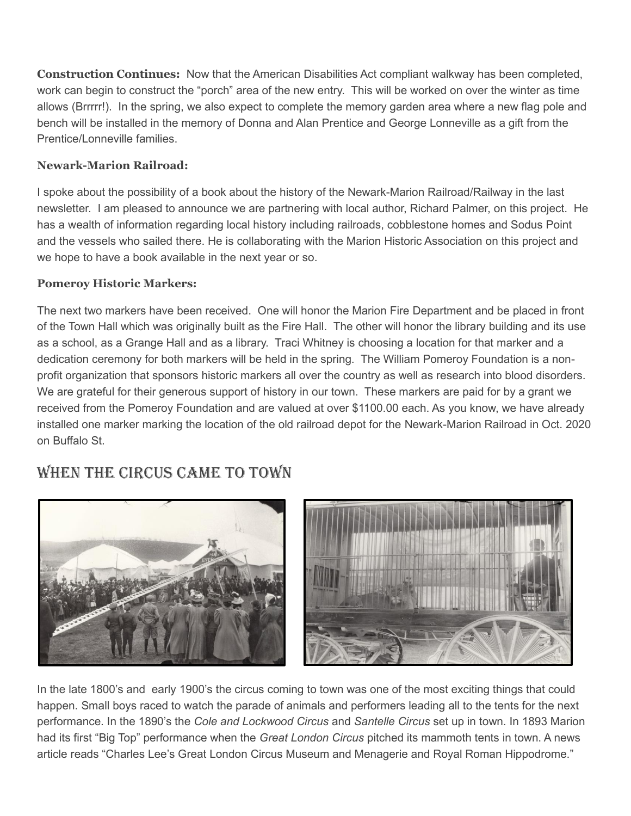**Construction Continues:** Now that the American Disabilities Act compliant walkway has been completed, work can begin to construct the "porch" area of the new entry. This will be worked on over the winter as time allows (Brrrrr!). In the spring, we also expect to complete the memory garden area where a new flag pole and bench will be installed in the memory of Donna and Alan Prentice and George Lonneville as a gift from the Prentice/Lonneville families.

### **Newark-Marion Railroad:**

I spoke about the possibility of a book about the history of the Newark-Marion Railroad/Railway in the last newsletter. I am pleased to announce we are partnering with local author, Richard Palmer, on this project. He has a wealth of information regarding local history including railroads, cobblestone homes and Sodus Point and the vessels who sailed there. He is collaborating with the Marion Historic Association on this project and we hope to have a book available in the next year or so.

### **Pomeroy Historic Markers:**

The next two markers have been received. One will honor the Marion Fire Department and be placed in front of the Town Hall which was originally built as the Fire Hall. The other will honor the library building and its use as a school, as a Grange Hall and as a library. Traci Whitney is choosing a location for that marker and a dedication ceremony for both markers will be held in the spring. The William Pomeroy Foundation is a nonprofit organization that sponsors historic markers all over the country as well as research into blood disorders. We are grateful for their generous support of history in our town. These markers are paid for by a grant we received from the Pomeroy Foundation and are valued at over \$1100.00 each. As you know, we have already installed one marker marking the location of the old railroad depot for the Newark-Marion Railroad in Oct. 2020 on Buffalo St.

## WHEN THE CIRCuS CAME TO TOWN





In the late 1800's and early 1900's the circus coming to town was one of the most exciting things that could happen. Small boys raced to watch the parade of animals and performers leading all to the tents for the next performance. In the 1890's the *Cole and Lockwood Circus* and *Santelle Circus* set up in town. In 1893 Marion had its first "Big Top" performance when the *Great London Circus* pitched its mammoth tents in town. A news article reads "Charles Lee's Great London Circus Museum and Menagerie and Royal Roman Hippodrome."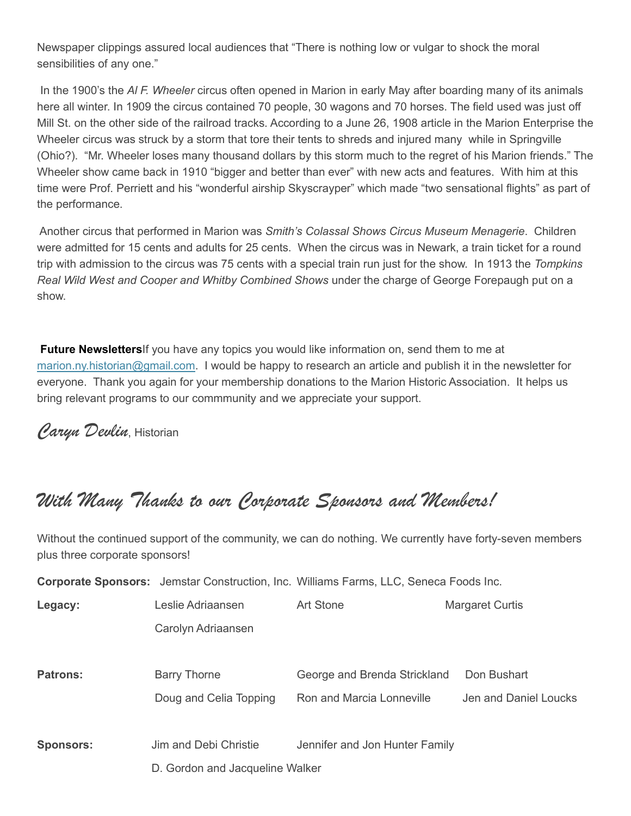Newspaper clippings assured local audiences that "There is nothing low or vulgar to shock the moral sensibilities of any one."

In the 1900's the *Al F. Wheeler* circus often opened in Marion in early May after boarding many of its animals here all winter. In 1909 the circus contained 70 people, 30 wagons and 70 horses. The field used was just off Mill St. on the other side of the railroad tracks. According to a June 26, 1908 article in the Marion Enterprise the Wheeler circus was struck by a storm that tore their tents to shreds and injured many while in Springville (Ohio?). "Mr. Wheeler loses many thousand dollars by this storm much to the regret of his Marion friends." The Wheeler show came back in 1910 "bigger and better than ever" with new acts and features. With him at this time were Prof. Perriett and his "wonderful airship Skyscrayper" which made "two sensational flights" as part of the performance.

Another circus that performed in Marion was *Smith's Colassal Shows Circus Museum Menagerie*. Children were admitted for 15 cents and adults for 25 cents. When the circus was in Newark, a train ticket for a round trip with admission to the circus was 75 cents with a special train run just for the show. In 1913 the *Tompkins Real Wild West and Cooper and Whitby Combined Shows* under the charge of George Forepaugh put on a show.

**Future Newsletters**If you have any topics you would like information on, send them to me at [marion.ny.historian@gmail.com.](mailto:marion.ny.historian@gmail.com) I would be happy to research an article and publish it in the newsletter for everyone. Thank you again for your membership donations to the Marion Historic Association. It helps us bring relevant programs to our commmunity and we appreciate your support.

*Caryn Devlin*, Historian

## *With Many Thanks to our Corporate Sponsors and Members!*

Without the continued support of the community, we can do nothing. We currently have forty-seven members plus three corporate sponsors!

|                                 |                        | <b>Corporate Sponsors:</b> Jemstar Construction, Inc. Williams Farms, LLC, Seneca Foods Inc. |                        |  |
|---------------------------------|------------------------|----------------------------------------------------------------------------------------------|------------------------|--|
| Legacy:                         | Leslie Adriaansen      | Art Stone                                                                                    | <b>Margaret Curtis</b> |  |
|                                 | Carolyn Adriaansen     |                                                                                              |                        |  |
|                                 |                        |                                                                                              |                        |  |
| <b>Patrons:</b>                 | <b>Barry Thorne</b>    | George and Brenda Strickland                                                                 | Don Bushart            |  |
|                                 | Doug and Celia Topping | Ron and Marcia Lonneville                                                                    | Jen and Daniel Loucks  |  |
|                                 |                        |                                                                                              |                        |  |
| <b>Sponsors:</b>                | Jim and Debi Christie  | Jennifer and Jon Hunter Family                                                               |                        |  |
| D. Gordon and Jacqueline Walker |                        |                                                                                              |                        |  |